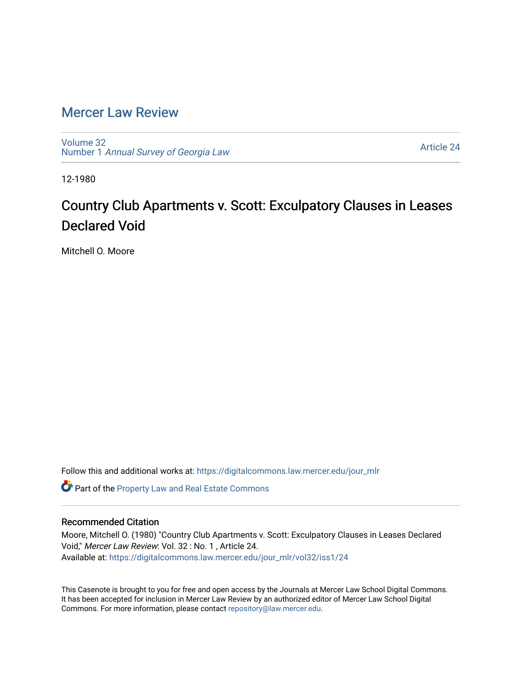## [Mercer Law Review](https://digitalcommons.law.mercer.edu/jour_mlr)

[Volume 32](https://digitalcommons.law.mercer.edu/jour_mlr/vol32) Number 1 [Annual Survey of Georgia Law](https://digitalcommons.law.mercer.edu/jour_mlr/vol32/iss1) 

[Article 24](https://digitalcommons.law.mercer.edu/jour_mlr/vol32/iss1/24) 

12-1980

## Country Club Apartments v. Scott: Exculpatory Clauses in Leases Declared Void

Mitchell O. Moore

Follow this and additional works at: [https://digitalcommons.law.mercer.edu/jour\\_mlr](https://digitalcommons.law.mercer.edu/jour_mlr?utm_source=digitalcommons.law.mercer.edu%2Fjour_mlr%2Fvol32%2Fiss1%2F24&utm_medium=PDF&utm_campaign=PDFCoverPages)

**C** Part of the Property Law and Real Estate Commons

## Recommended Citation

Moore, Mitchell O. (1980) "Country Club Apartments v. Scott: Exculpatory Clauses in Leases Declared Void," Mercer Law Review: Vol. 32 : No. 1 , Article 24. Available at: [https://digitalcommons.law.mercer.edu/jour\\_mlr/vol32/iss1/24](https://digitalcommons.law.mercer.edu/jour_mlr/vol32/iss1/24?utm_source=digitalcommons.law.mercer.edu%2Fjour_mlr%2Fvol32%2Fiss1%2F24&utm_medium=PDF&utm_campaign=PDFCoverPages) 

This Casenote is brought to you for free and open access by the Journals at Mercer Law School Digital Commons. It has been accepted for inclusion in Mercer Law Review by an authorized editor of Mercer Law School Digital Commons. For more information, please contact [repository@law.mercer.edu.](mailto:repository@law.mercer.edu)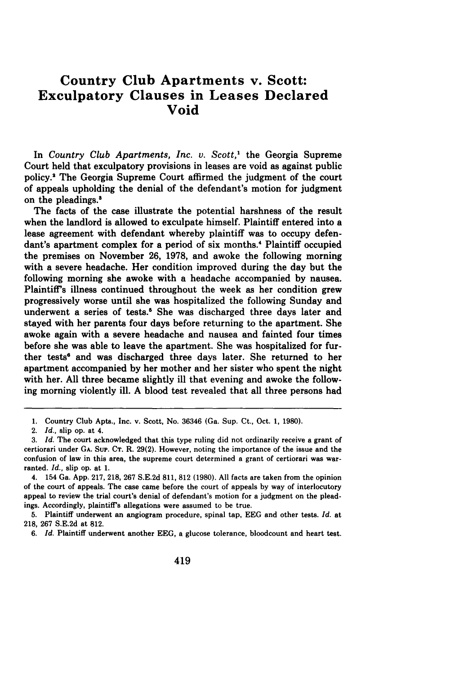## **Country Club Apartments v. Scott: Exculpatory Clauses in Leases Declared Void**

In *Country Club Apartments, Inc. v. Scott,'* the Georgia Supreme Court held that exculpatory provisions in leases are void as against public policy.' The Georgia Supreme Court affirmed the judgment of the court of appeals upholding the denial of the defendant's motion for judgment on the pleadings.'

The facts of the case illustrate the potential harshness of the result when the landlord is allowed to exculpate himself. Plaintiff entered into a lease agreement with defendant whereby plaintiff was to occupy defendant's apartment complex for a period of six months." Plaintiff occupied the premises on November **26, 1978,** and awoke the following morning with a severe headache. Her condition improved during the day but the following morning she awoke with a headache accompanied **by** nausea. Plaintiff's illness continued throughout the week as her condition grew progressively worse until she was hospitalized the following Sunday and underwent a series of tests.<sup>6</sup> She was discharged three days later and stayed with her parents four days before returning to the apartment. She awoke again with a severe headache and nausea and fainted four times before she was able to leave the apartment. She was hospitalized for further tests" and was discharged three days later. She returned to her apartment accompanied **by** her mother and her sister who spent the night with her. **All** three became slightly ill that evening and awoke the following morning violently ill. **A** blood test revealed that all three persons had

**<sup>1.</sup>** Country Club Apts., Inc. v. Scott, No. **36346** (Ga. Sup. Ct., Oct. **1, 1980).**

<sup>2.</sup> *Id.,* slip op. at 4.

**<sup>3.</sup>** *Id.* The court acknowledged that this type ruling did not ordinarily receive a grant of certiorari under **GA.** SuP. **CT.** R. **29(2).** However, noting the importance of the issue and the confusion of law in this area, the supreme court determined a grant of certiorari was warranted. *Id.,* slip op. at **1.**

<sup>4. 154</sup> Ga. **App. 217, 218, 267 S.E.2d 811, 812 (1980). All** facts are taken from the opinion of the court of appeals. The case came before the court of appeals **by** way of interlocutory appeal to review the trial court's denial of defendant's motion for a judgment on the pleadings. Accordingly, plaintiff's allegations were assumed to be true.

**<sup>5.</sup>** Plaintiff underwent an angiogram procedure, spinal tap, **EEG** and other tests. *Id.* at **218, 267 S.E.2d** at **812.**

**<sup>6.</sup>** *Id.* Plaintiff underwent another **EEG,** a glucose tolerance, bloodcount and heart test.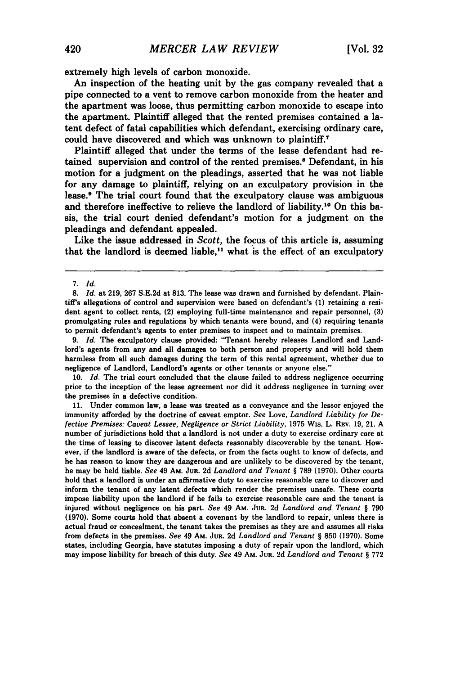extremely high levels of carbon monoxide.

An inspection of the heating unit by the gas company revealed that a pipe connected to a vent to remove carbon monoxide from the heater and the apartment was loose, thus permitting carbon monoxide to escape into the apartment. Plaintiff alleged that the rented premises contained a latent defect of fatal capabilities which defendant, exercising ordinary care, could have discovered and which was unknown to plaintiff.<sup>7</sup>

Plaintiff alleged that under the terms of the lease defendant had retained supervision and control of the rented premises.8 Defendant, in his motion for a judgment on the pleadings, asserted that he was not liable for any damage to plaintiff, relying on an exculpatory provision in the lease.<sup>•</sup> The trial court found that the exculpatory clause was ambiguous and therefore ineffective to relieve the landlord of liability.<sup>10</sup> On this basis, the trial court denied defendant's motion for a judgment on the pleadings and defendant appealed.

Like the issue addressed in *Scott,* the focus of this article is, assuming that the landlord is deemed liable,<sup>11</sup> what is the effect of an exculpatory

**9.** *Id.* The exculpatory clause provided: "Tenant hereby releases Landlord and Landlord's agents from any and all damages to both person and property and will hold them harmless from all such damages during the term of this rental agreement, whether due to negligence of Landlord, Landlord's agents or other tenants or anyone else."

**10.** *Id.* The trial court concluded that the clause failed to address negligence occurring prior to the inception of the lease agreement nor did it address negligence in turning over the premises in a defective condition.

**11.** Under common law, a lease was treated as a conveyance and the lessor enjoyed the immunity afforded **by** the doctrine of caveat emptor. *See* Love, *Landlord Liability for Defective Premises: Caveat Lessee, Negligence or Strict Liability,* **1975** Wis. L. **REv. 19,** 21. **A** number of jurisdictions hold that a landlord is not under a duty to exercise ordinary care at the time of leasing to discover latent defects reasonably discoverable **by** the tenant. However, if the landlord is aware of the defects, or from the facts ought to know of defects, and he has reason to know they are dangerous and are unlikely to be discovered **by** the tenant, he may be held liable. *See* 49 AM. **JUR. 2d** *Landlord and Tenant* § **789 (1970).** Other courts hold that a landlord is under an affirmative duty to exercise reasonable care to discover and inform the tenant of any latent defects which render the premises unsafe. These courts impose liability upon the landlord if he fails to exercise reasonable care and the tenant is injured without negligence on his part. *See* 49 Am. **JUR. 2d** *Landlord and Tenant §* **790 (1970).** Some courts hold that absent a covenant **by** the landlord to repair, unless there is actual fraud or concealment, the tenant takes the premises as they are and assumes all risks from defects in the premises. *See* 49 AM. **JuR. 2d** *Landlord and Tenant §* **850 (1970).** Some states, including Georgia, have statutes imposing a duty of repair upon the landlord, which may impose liability for breach of this duty. *See* 49 **Am. JUR. 2d** *Landlord and Tenant §* **772**

<sup>7.</sup> *Id.*

<sup>8.</sup> *Id.* at 219, 267 S.E.2d at 813. The lease was drawn and furnished by defendant. Plaintiff's allegations of control and supervision were based on defendant's **(1)** retaining a resident agent to collect rents, (2) employing full-time maintenance and repair personnel, **(3)** promulgating rules and regulations by which tenants were bound, and (4) requiring tenants to permit defendant's agents to enter premises to inspect and to maintain premises.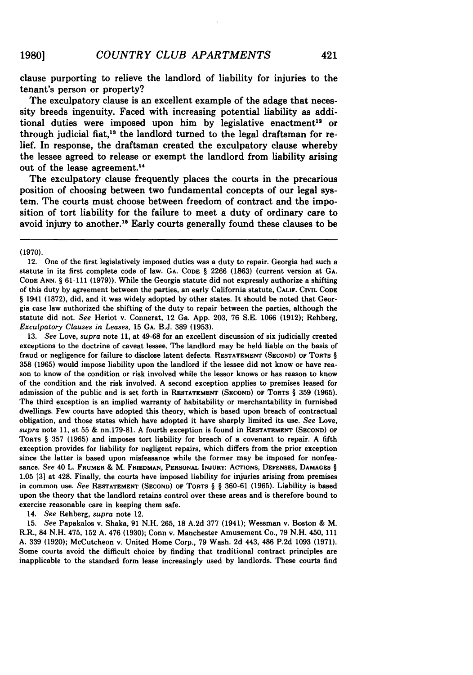clause purporting to relieve the landlord of liability for injuries to the tenant's person or property?

The exculpatory clause is an excellent example of the adage that necessity breeds ingenuity. Faced with increasing potential liability as additional duties were imposed upon him by legislative enactment<sup>12</sup> or through judicial fiat,<sup>13</sup> the landlord turned to the legal draftsman for relief. In response, the draftsman created the exculpatory clause whereby the lessee agreed to release or exempt the landlord from liability arising out of the lease agreement.<sup>14</sup>

The exculpatory clause frequently places the courts in the precarious position of choosing between two fundamental concepts of our legal system. The courts must choose between freedom of contract and the imposition of tort liability for the failure to meet a duty of ordinary care to avoid injury to another.<sup>15</sup> Early courts generally found these clauses to be

(1970).

13. *See* Love, *supra* note 11, at 49-68 for an excellent discussion of six judicially created exceptions to the doctrine of caveat lessee. The landlord may be held liable on the basis of fraud or negligence for failure to disclose latent defects. **RESTATEMENT (SECOND)** OF **TORTS** § **358 (1965)** would impose liability upon the landlord if the lessee did not know or have reason to know of the condition or risk involved while the lessor knows or has reason to know of the condition and the risk involved. A second exception applies to premises leased for admission of the public and is set forth in **RESTATEMENT (SECOND) OF TORTS** § **359 (1965).** The third exception is an implied warranty of habitability or merchantability in furnished dwellings. Few courts have adopted this theory, which is based upon breach of contractual obligation, and those states which have adopted it have sharply limited its use. *See* Love, *supra* note **11,** at 55 **&** nn.179-81. **A** fourth exception is found in RESTATEMENT **(SECOND)** OF **TORTS** § **357 (1965)** and imposes tort liability for breach of a covenant to repair. **A** fifth exception provides for liability for negligent repairs, which differs from the prior exception since the latter is based upon misfeasance while the former may be imposed for nonfeasance. *See* 40 L. **FRUMER** & M. **FRIEDMAN, PERSONAL INJURY: ACTIONS, DEFENSES, DAMAGES** § 1.05 **[3]** at 428. Finally, the courts have imposed liability for injuries arising from premises **in** common use. *See* **RESTATEMENT (SECOND)** OF TORTS § § 360-61 **(1965).** Liability is based upon the theory that the landlord retains control over these areas and is therefore bound to exercise reasonable care in keeping them safe.

14. *See* Rehberg, *supra* note 12.

**15.** *See* Papakalos v. Shaka, **91** N.H. **265, 18** A.2d **377** (1941); Wessman v. Boston & M. R.R., 84 N.H. 475, **152** A. 476 **(1930);** Conn v. Manchester Amusement Co., **79** N.H. 450, 111 A. **339 (1920);** McCutcheon v. United Home Corp., **79** Wash. **2d** 443, 486 P.2d 1093 (1971). Some courts avoid the difficult choice by finding that traditional contract principles are inapplicable to the standard form lease increasingly used by landlords. These courts find

<sup>12.</sup> One of the first legislatively imposed duties was a duty to repair. Georgia had such a statute in its first complete code of law. **GA. CODE** § **2266 (1863)** (current version at **GA. CODE ANN.** § 61-111 (1979)). While the Georgia statute did not expressly authorize a shifting of this duty by agreement between the parties, an early California statute, **CALIF.** CIVIL CODE § 1941 (1872), did, and it was widely adopted by other states. It should be noted that Georgia case law authorized the shifting of the duty to repair between the parties, although the statute did not. *See* Heriot v. Connerat, 12 Ga. App. 203, 76 S.E. 1066 (1912); Rehberg, *Exculpatory Clauses in Leases,* 15 **GA.** B.J. 389 (1953).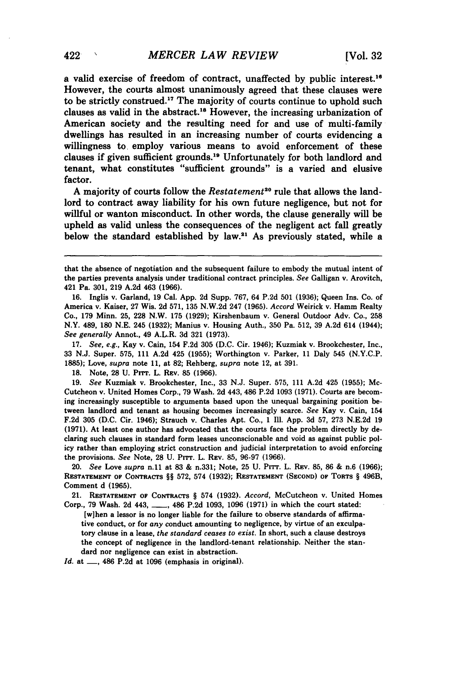a valid exercise of freedom of contract, unaffected **by** public interest."6 However, the courts almost unanimously agreed that these clauses were to be strictly construed." The majority of courts continue to uphold such clauses as valid in the abstract.<sup>18</sup> However, the increasing urbanization of American society and the resulting need for and use of multi-family dwellings has resulted in an increasing number of courts evidencing a willingness to employ various means to avoid enforcement of these clauses if given sufficient grounds.19 Unfortunately for both landlord and tenant, what constitutes "sufficient grounds" is a varied and elusive factor.

**A** majority of courts follow the *Restatement"0* rule that allows the landlord to contract away liability for his own future negligence, but not for willful or wanton misconduct. In other words, the clause generally will be upheld as valid unless the consequences of the negligent act fall greatly below the standard established **by** law." As previously stated, while a

**17.** See, e.g., Kay v. Cain, 154 **F.2d 305 (D.C.** Cir. 1946); Kuzmiak v. Brookchester, Inc., **33 N.J.** Super. **575, 111 A.2d** 425 **(1955);** Worthington v. Parker, **11** Daly 545 **(N.Y.C.P. 1885);** Love, supra note **11,** at **82;** Rehberg, supra note 12, at **391.**

**18.** Note, **28 U.** Prrr. L. **REV. 85 (1966).**

**19.** See Kuzmiak v. Brookchester, Inc., **33 N.J.** Super. **575, 111 A.2d** 425 **(1955);** Mc-Cutcheon v. United Homes Corp., **79** Wash. **2d** 443, 486 **P.2d 1093 (1971).** Courts are becoming increasingly susceptible to arguments based upon the unequal bargaining position between landlord and tenant as housing becomes increasingly scarce. See Kay v. Cain, 154 **F.2d 305 (D.C.** Cir. 1946); Strauch v. Charles Apt. Co., **1** Ill. **App. 3d 57, 273 N.E.2d 19 (1971).** At least one author has advocated that the courts face the problem directly **by** declaring such clauses in standard form leases unconscionable and void as against public policy rather than employing strict construction and judicial interpretation to avoid enforcing the provisions. See Note, **28 U.** Prrr. L. **REV. 85, 96-97 (1966).**

20. See Love supra n.11 at **83 &** n.331; Note, **25 U.** PTT. L. REV. **85, 86 &** n.6 **(1966); RESTATEMENT OF CONTRACTS** §§ **572,** 574 **(1932); RESTATEMENT (SECOND) OF TORTS** § 496B, Comment **d (1965).**

21. **RESTATEMENT OF CONTRACTS** § 574 **(1932).** *Accord,* McCutcheon v. United Homes Corp., **79** Wash. **2d** 443, **\_\_,** 486 **P.2d 1093, 1096 (1971)** in which the court stated:

[w]hen a lessor is no longer liable for the failure to observe standards of affirmative conduct, or for *any* conduct amounting to negligence, **by** virtue of an exculpatory clause in a lease, *the standard ceases to exist.* In short, such a clause destroys the concept of negligence in the landlord-tenant relationship. Neither the standard nor negligence can exist in abstraction.

*Id.* **at -, 486 P.2d** at **1096** (emphasis in original).

that the absence of negotiation and the subsequent failure to embody the mutual intent of the parties prevents analysis under traditional contract principles. See Galligan v. Arovitch, 421 Pa. **301, 219 A.2d** 463 **(1966).**

**<sup>16.</sup>** Inglis v. Garland, **19** Cal. **App. 2d** Supp. **767,** 64 **P.2d 501 (1936);** Queen Ins. Co. of America v. Kaiser, **27** Wis. **2d 571, 135 N.W.2d** 247 **(1965).** Accord Weirick v. Hamm Realty **Co., 179** Minn. **25, 228** N.W. **175 (1929);** Kirshenbaurn v. General Outdoor Adv. Co., **258** N.Y. 489, **180 N.E.** 245 **(1932);** Manius v. Housing Auth., **350** Pa. **512, 39 A.2d** 614 (1944); See generally Annot., 49 A.L.R. **3d 321 (1973).**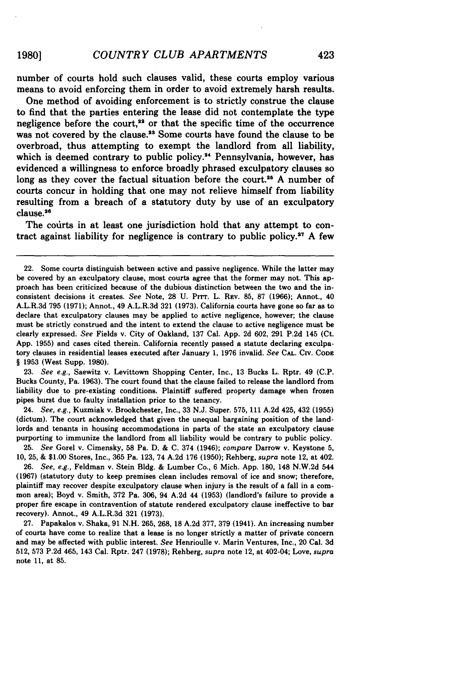number of courts hold such clauses valid, these courts employ various means to avoid enforcing them in order to avoid extremely harsh results.

One method of avoiding enforcement is to strictly construe the clause to find that the parties entering the lease did not contemplate the type negligence before the court,<sup>22</sup> or that the specific time of the occurrence was not covered by the clause.<sup>33</sup> Some courts have found the clause to be overbroad, thus attempting to exempt the landlord from all liability, which is deemed contrary to public policy.<sup>24</sup> Pennsylvania, however, has evidenced a willingness to enforce broadly phrased exculpatory clauses so long as they cover the factual situation before the court.<sup>25</sup> A number of courts concur in holding that one may not relieve himself from liability resulting from a breach of a statutory duty **by** use of an exculpatory clause.2s

The courts in at least one jurisdiction hold that any attempt to contract against liability for negligence is contrary to public **policy. 27 A** few

**23.** *See e.g.,* Saewitz v. Levittown Shopping Center, Inc., **13** Bucks L. Rptr. 49 **(C.P.** Bucks County, Pa. **1963).** The court found that the clause failed to release the landlord from liability due to pre-existing conditions. Plaintiff suffered property damage when frozen pipes burst due to faulty installation prior to the tenancy.

24. *See, e.g.,* Kuzmiak v. Brookchester, Inc., **33 N.J.** Super. **575, 111 A.2d** 425, 432 **(1955)** (dictum). The court acknowledged that given the unequal bargaining position of the landlords and tenants in housing accommodations in parts of the state an exculpatory clause purporting to immunize the landlord from all liability would be contrary to public policy.

25. *See* Gorel v. Cimensky, **58** Pa. **D. & C.** 374 (1946); *compare* Darrow v. Keystone **5, 10, 25, & \$1.00** Stores, Inc., **365** Pa. **123,** 74 **A.2d 176 (1950);** Rehberg, *supra* note 12, at 402.

**26.** *See, e.g.,* Feldman v. Stein **Bldg. &** Lumber Co., **6** Mich. **App. 180,** 148 **N.W.2d** 544 **(1967)** (statutory duty to keep premises clean includes removal of ice and snow; therefore, plaintiff may recover despite exculpatory clause when injury is the result of a fall in a common area); Boyd v. Smith, **372** Pa. **306,** 94 **A.2d** 44 **(1953)** (landlord's failure to provide a proper fire escape in contravention of statute rendered exculpatory clause ineffective to bar recovery). Annot., 49 A.L.R.3d **321 (1973).**

**27.** Papakalos v. Shaka, 91 **N.H. 265, 268, 18 A.2d 377, 379** (1941). An increasing number of courts have come to realize that a lease is no longer strictly a matter of private concern and may be affected with public interest. *See* Henrioulle v. Marin Ventures, Inc., 20 Cal. **3d** 512, **573 P.2d** 465, 143 Cal. Rptr. 247 **(1978);** Rehberg, *supra* note 12, at 402-04; Love, *supra* note **11,** at **85.**

<sup>22.</sup> Some courts distinguish between active and passive negligence. While the latter may be covered **by** an exculpatory clause, most courts agree that the former may not. This approach has been criticized because of the dubious distinction between the two and the inconsistent decisions it creates. *See* Note, **28 U. Pi".** L. REv. **85, 87 (1966);** Annot., 40 A.L.R.3d **795 (1971);** Annot., 49 A.L.R.3d **321 (1973).** California courts have gone so far as to declare that exculpatory clauses may be applied to active negligence, however; the clause must be strictly construed and the intent to extend the clause to active negligence must be clearly expressed. *See* Fields v. City of Oakland, **137** Cal. **App. 2d 602, 291 P.2d** 145 (Ct. **App. 1955)** and cases cited therein. California recently passed a statute declaring exculpatory clauses in residential leases executed after January **1, 1976** invalid. *See* **CAL.** Civ. **CoDE** § **1953** (West Supp. **1980).**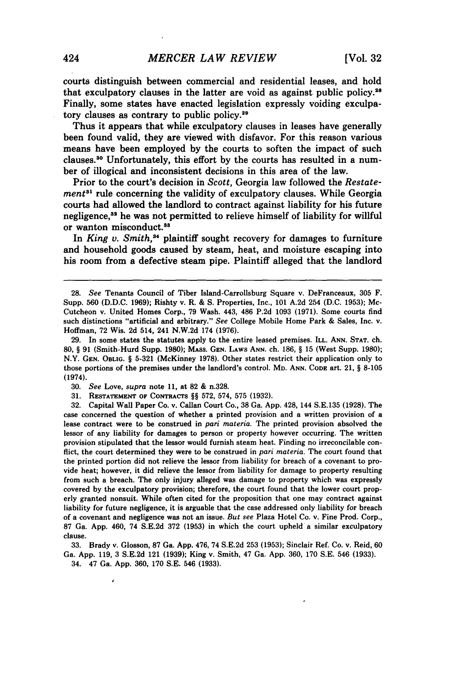courts distinguish between commercial and residential leases, and hold that exculpatory clauses in the latter are void as against public policy.<sup>28</sup> Finally, some states have enacted legislation expressly voiding exculpatory clauses as contrary to public **policy.<sup>29</sup>**

Thus it appears that while exculpatory clauses in leases have generally been found valid, they are viewed with disfavor. For this reason various means have been employed by the courts to soften the impact of such clauses.30 Unfortunately, this effort by the courts has resulted in a number of illogical and inconsistent decisions in this area of the law.

Prior to the court's decision in *Scott,* Georgia law followed the *Restatement3l* rule concerning the validity of exculpatory clauses. While Georgia courts had allowed the landlord to contract against liability for his future negligence,<sup>32</sup> he was not permitted to relieve himself of liability for willful or wanton misconduct.<sup>33</sup>

In *King v. Smith*,<sup>34</sup> plaintiff sought recovery for damages to furniture and household goods caused by steam, heat, and moisture escaping into his room from a defective steam pipe. Plaintiff alleged that the landlord

29. In some states the statutes apply to the entire leased premises. ILL. ANN. **STAT.** ch. 80, § 91 (Smith-Hurd Supp. 1980); MASS. **GEN.** LAWS **ANN.** ch. 186, § 15 (West Supp. 1980); N.Y. GEN. OBLIG. § 5-321 (McKinney 1978). Other states restrict their application only to those portions of the premises under the landlord's control. **MD. ANN.** CODE art. 21, § 8-105 (1974).

30. *See* Love, *supra* note 11, at 82 & n.328.

31. **RESTATEMENT** OF CONTRACTS §§ 572, 574, 575 (1932).

32. Capital Wall Paper Co. v. Callan Court Co., 38 Ga. App. 428, 144 S.E.135 (1928). The case concerned the question of whether a printed provision and a written provision of a lease contract were to be construed in *pari materia.* The printed provision absolved the lessor of any liability for damages to person or property however occurring. The written provision stipulated that the lessor would furnish steam heat. Finding no irreconcilable conflict, the court determined they were to be construed in *pari materia.* The court found that the printed portion did not relieve the lessor from liability for breach of a covenant to provide heat; however, it did relieve the lessor from liability for damage to property resulting from such a breach. The only injury alleged was damage to property which was expressly covered by the exculpatory provision; therefore, the court found that the lower court properly granted nonsuit. While often cited for the proposition that one may contract against liability for future negligence, it is arguable that the case addressed only liability for breach of a covenant and negligence was not an issue. *But see* Plaza Hotel Co. v. Fine Prod. Corp., 87 Ga. App. 460, 74 S.E.2d 372 (1953) in which the court upheld a similar exculpatory clause.

33. Brady v. Glosson, 87 Ga. App. 476, 74 S.E.2d 253 (1953); Sinclair Ref. Co. v. Reid, 60 Ga. App. 119, 3 S.E.2d 121 **(1939);** King v. Smith, 47 Ga. App. 360, 170 S.E. 546 (1933). 34. 47 Ga. App. 360, 170 S.E. 546 (1933).

<sup>28.</sup> *See* Tenants Council of Tiber Island-Carrollsburg Square v. DeFranceaux, 305 F. Supp. 560 (D.D.C. 1969); Rishty v. R. & **S.** Properties, Inc., 101 A.2d 254 (D.C. 1953); Mc-Cutcheon v. United Homes Corp., 79 Wash. 443, 486 P.2d 1093 (1971). Some courts find such distinctions "artificial and arbitrary." *See* College Mobile Home Park & Sales, Inc. v. Hoffman, 72 Wis. 2d 514, 241 N.W.2d 174 (1976).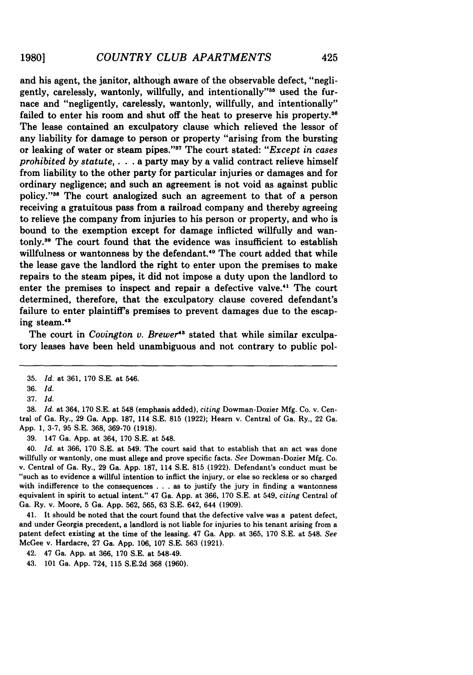and his agent, the janitor, although aware of the observable defect, "negligently, carelessly, wantonly, willfully, and intentionally"<sup>35</sup> used the furnace and "negligently, carelessly, wantonly, willfully, and intentionally" failed to enter his room and shut off the heat to preserve his property.<sup>36</sup> The lease contained an exculpatory clause which relieved the lessor of any liability for damage to person or property "arising from the bursting or leaking of water or steam pipes. **'' <sup>3</sup>**The court stated: *"Except in cases prohibited by statute,.* **. .** a party may by a valid contract relieve himself from liability to the other party for particular injuries or damages and for ordinary negligence; and such an agreement is not void as against public policy."<sup>38</sup> The court analogized such an agreement to that of a person receiving a gratuitous pass from a railroad company and thereby agreeing to relieve the company from injuries to his person or property, and who is bound to the exemption except for damage inflicted willfully and wantonly. 9 The court found that the evidence was insufficient to establish willfulness or wantonness by the defendant.<sup>40</sup> The court added that while the lease gave the landlord the right to enter upon the premises to make repairs to the steam pipes, it did not impose a duty upon the landlord to enter the premises to inspect and repair a defective valve."' The court determined, therefore, that the exculpatory clause covered defendant's failure to enter plaintiff's premises to prevent damages due to the escaping steam.42

The court in *Covington v. Brewer*<sup>43</sup> stated that while similar exculpatory leases have been held unambiguous and not contrary to public pol-

38. *Id.* at 364, 170 S.E. at 548 (emphasis added), *citing* Dowman-Dozier Mfg. Co. v. Central of Ga. Ry., 29 Ga. App. 187, 114 S.E. 815 (1922); Hearn v. Central of Ga. Ry., 22 Ga. App. 1, 3-7, 95 S.E. 368, 369-70 (1918).

39. 147 Ga. App. at 364, 170 S.E. at 548.

40. *Id.* at 366, 170 S.E. at 549. The court said that to establish that an act was done willfully or wantonly, one must allege and prove specific facts. *See* Dowman-Dozier Mfg. Co. v. Central of Ga. Ry., 29 Ga. App. 187, 114 S.E. 815 (1922). Defendant's conduct must be "such as to evidence a willful intention to inflict the injury, or else so reckless or so charged with indifference to the consequences . . . as to justify the jury in finding a wantonness equivalent in spirit to actual intent." 47 Ga. App. at 366, 170 S.E. at 549, *citing* Central of Ga. Ry. v. Moore, 5 Ga. App. 562, 565, 63 S.E. 642, 644 (1909).

41. It should be noted that the court found that the defective valve was a patent defect, and under Georgia precedent, a landlord is not liable for injuries to his tenant arising from a patent defect existing at the time of the leasing. 47 Ga. App. at 365, 170 S.E. at 548. *See* McGee v. Hardacre, 27 Ga. App. 106, 107 S.E. 563 (1921).

42. 47 Ga. App. at 366, 170 S.E. at 548-49.

43. 101 Ga. App. 724, 115 S.E.2d 368 (1960).

<sup>35.</sup> *Id.* at 361, 170 S.E. at 546.

<sup>36.</sup> *Id.*

<sup>37.</sup> *Id.*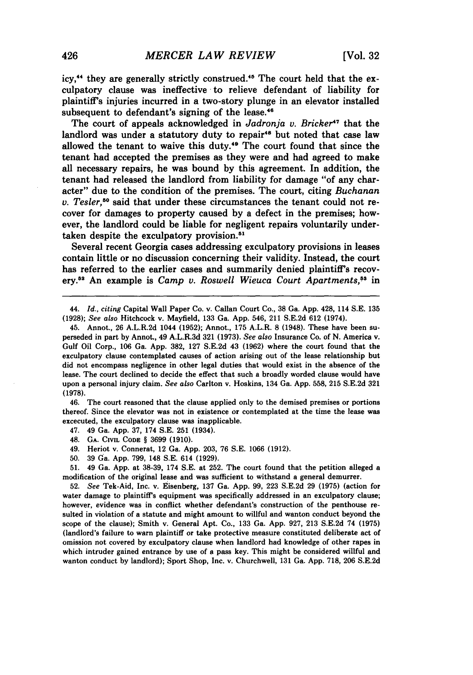icy.<sup>44</sup> they are generally strictly construed.<sup>45</sup> The court held that the exculpatory clause was ineffective to relieve defendant of liability for plaintiff's injuries incurred in a two-story plunge in an elevator installed subsequent to defendant's signing of the lease. $48$ 

The court of appeals acknowledged in *Jadronja v. Bricker*<sup>47</sup> that the landlord was under a statutory duty to repair<sup>48</sup> but noted that case law allowed the tenant to waive this duty." The court found that since the tenant had accepted the premises as they were and had agreed to make all necessary repairs, he was bound by this agreement. In addition, the tenant had released the landlord from liability for damage "of any character" due to the condition of the premises. The court, citing *Buchanan v. Tesler,50* said that under these circumstances the tenant could not recover for damages to property caused by a defect in the premises; however, the landlord could be liable for negligent repairs voluntarily undertaken despite the exculpatory provision.<sup>51</sup>

Several recent Georgia cases addressing exculpatory provisions in leases contain little or no discussion concerning their validity. Instead, the court has referred to the earlier cases and summarily denied plaintiff's recovery." An example is *Camp v. Roswell Wieuca Court Apartments,5* in

44. *Id., citing* Capital Wall Paper Co. v. Callan Court Co., 38 Ga. App. 428, 114 S.E. 135 (1928); *See also* Hitchcock v. Mayfield, **133** Ga. App. 546, 211 S.E.2d 612 (1974).

46. The court reasoned that the clause applied only to the demised premises or portions thereof. Since the elevator was not in existence or contemplated at the time the lease was excecuted, the exculpatory clause was inapplicable.

47. 49 Ga. App. 37, 174 S.E. 251 (1934).

48. **GA. CIVIL CODE** § 3699 (1910).

49. Heriot v. Connerat, 12 Ga. App. 203, 76 S.E. 1066 (1912).

50. 39 Ga. App. 799, 148 S.E. 614 (1929).

51. 49 Ga. App. at 38-39, 174 S.E. at 252. The court found that the petition alleged a modification of the original lease and was sufficient to withstand a general demurrer.

**52.** *See* Tek-Aid, Inc. v. Eisenberg, **137** Ga. **App. 99, 223 S.E.2d 29 (1975)** (action for water damage to plaintiff's equipment was specifically addressed in an exculpatory clause; however, evidence was in conflict whether defendant's construction of the penthouse resulted in violation of a statute and might amount to willful and wanton conduct beyond the scope of the clause); Smith v. General Apt. Co., **133** Ga. **App. 927, 213 S.E.2d** 74 **(1975)** (landlord's failure to warn plaintiff or take protective measure constituted deliberate act of omission not covered **by** exculpatory clause when landlord had knowledge of other rapes in which intruder gained entrance **by** use of a pass key. This might be considered willful and wanton conduct **by** landlord); Sport Shop, Inc. v. Churchwell, **131** Ga. **App. 718, 206 S.E.2d**

<sup>45.</sup> Annot., 26 A.L.R.2d 1044 (1952); Annot., 175 A.L.R. 8 (1948). These have been superseded in part by Annot., 49 A.L.R.3d 321 (1973). *See also* Insurance Co. of N. America v. Gulf Oil Corp., 106 Ga. App. 382, 127 S.E.2d 43 (1962) where the court found that the exculpatory clause contemplated causes of action arising out of the lease relationship but did not encompass negligence in other legal duties that would exist in the absence of the lease. The court declined to decide the effect that such a broadly worded clause would have upon a personal injury claim. *See also* Carlton v. Hoskins, 134 Ga. App. 558, 215 S.E.2d **321 (1978).**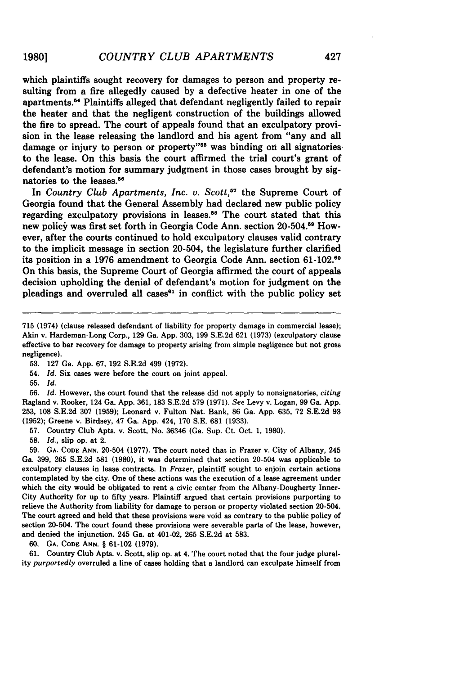which plaintiffs sought recovery for damages to person and property resulting from a fire allegedly caused by a defective heater in one of the apartments." Plaintiffs alleged that defendant negligently failed to repair the heater and that the negligent construction of the buildings allowed the fire to spread. The court of appeals found that an exculpatory provision in the lease releasing the landlord and his agent from "any and all damage or injury to person or property"<sup>55</sup> was binding on all signatories to the lease. On this basis the court affirmed the trial court's grant of defendant's motion for summary judgment in those cases brought by signatories to the leases.<sup>56</sup>

In *Country Club Apartments, Inc. v. Scott*,<sup>57</sup> the Supreme Court of Georgia found that the General Assembly had declared new public policy regarding exculpatory provisions in leases.<sup>58</sup> The court stated that this new policy was first set forth in Georgia Code Ann. section 20-504.59 However, after the courts continued to hold exculpatory clauses valid contrary to the implicit message in section 20-504, the legislature further clarified its position in a 1976 amendment to Georgia Code Ann. section **61-102.<sup>60</sup>** On this basis, the Supreme Court of Georgia affirmed the court of appeals decision upholding the denial of defendant's motion for judgment on the pleadings and overruled all cases $<sup>61</sup>$  in conflict with the public policy set</sup>

- 54. *Id.* Six cases were before the court on joint appeal.
- **55.** *Id.*

56. *Id.* However, the court found that the release did not apply to nonsignatories, *citing* Ragland v. Rooker, 124 Ga. App. 361, **183** S.E.2d **579** (1971). *See* Levy v. Logan, **99** Ga. App. **253, 108** S.E.2d **307 (1959);** Leonard v. Fulton Nat. Bank, **86** Ga. App. **635, 72** S.E.2d **93 (1952);** Greene v. Birdsey, 47 Ga. App. 424, 170 S.E. **681 (1933).**

**57.** Country Club Apts. v. Scott, No. **36346** (Ga. Sup. Ct. Oct. 1, **1980).**

**58.** *Id.,* slip op. at 2.

**59. GA. CODE** ANN. 20-504 (1977). The court noted that in Frazer v. City of Albany, 245 Ga. **399, 265** S.E.2d **581 (1980),** it was determined that section 20-504 was applicable to exculpatory clauses in lease contracts. In *Frazer,* plaintiff sought to enjoin certain actions contemplated by the city. One of these actions was the execution of a lease agreement under which the city would be obligated to rent a civic center from the Albany-Dougherty Inner-City Authority for up to fifty years. Plaintiff argued that certain provisions purporting to relieve the Authority from liability for damage to person or property violated section 20-504. The court agreed and held that these provisions were void as contrary to the public policy of section 20-504. The court found these provisions were severable parts of the lease, however, and denied the injunction. 245 Ga. at 401-02, **265** S.E.2d at **583.**

**60. GA. CODE ANN.** § 61-102 (1979).

61. Country Club Apts. v. Scott, slip op. at 4. The court noted that the four judge plurality *purportedly* overruled a line of cases holding that a landlord can exculpate himself from

**<sup>715</sup>** (1974) (clause released defendant of liability for property damage in commercial lease); Akin v. Hardeman-Long Corp., **129** Ga. App. **303, 199** S.E.2d **621 (1973)** (exculpatory clause effective to bar recovery for damage to property arising from simple negligence but not gross negligence).

**<sup>53. 127</sup>** Ga. App. **67, 192** S.E.2d 499 **(1972).**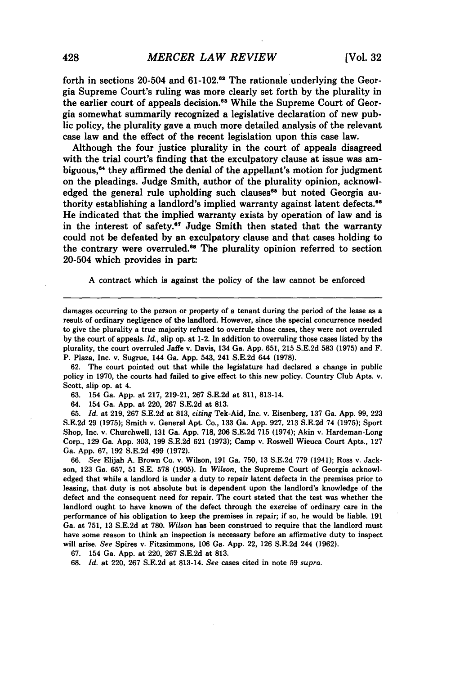forth in sections 20-504 and  $61-102$ .<sup>62</sup> The rationale underlying the Georgia Supreme Court's ruling was more clearly set forth by the plurality in the earlier court of appeals decision.<sup>63</sup> While the Supreme Court of Georgia somewhat summarily recognized a legislative declaration of new public policy, the plurality gave a much more detailed analysis of the relevant case law and the effect of the recent legislation upon this case law.

Although the four justice plurality in the court of appeals disagreed with the trial court's finding that the exculpatory clause at issue was ambiguous,<sup>64</sup> they affirmed the denial of the appellant's motion for judgment on the pleadings. Judge Smith, author of the plurality opinion, acknowledged the general rule upholding such clauses<sup>65</sup> but noted Georgia authority establishing a landlord's implied warranty against latent defects.<sup>66</sup> He indicated that the implied warranty exists by operation of law and is in the interest of safety.<sup>67</sup> Judge Smith then stated that the warranty could not be defeated by an exculpatory clause and that cases holding to the contrary were overruled.<sup>66</sup> The plurality opinion referred to section 20-504 which provides in part:

A contract which is against the policy of the law cannot be enforced

62. The court pointed out that while the legislature had declared a change in public policy in 1970, the courts had failed to give effect to this new policy. Country Club Apts. v. Scott, slip op. at 4.

63. 154 Ga. App. at 217, 219-21, 267 S.E.2d at 811, 813-14.

64. 154 Ga. App. at 220, 267 S.E.2d at 813.

65. *Id.* at 219, 267 S.E.2d at 813, *citing* Tek-Aid, Inc. v. Eisenberg, 137 Ga. App. 99, 223 S.E.2d 29 (1975); Smith v. General Apt. Co., 133 Ga. App. 927, 213 S.E.2d 74 (1975); Sport Shop, Inc. v. Churchwell, 131 Ga. App. 718, 206 S.E.2d 715 (1974); Akin v. Hardeman-Long Corp., 129 Ga. App. 303, 199 S.E.2d 621 (1973); Camp v. Roswell Wieuca Court Apts., 127 Ga. App. 67, 192 S.E.2d 499 (1972).

66. *See* Elijah **A.** Brown Co. v. Wilson, 191 Ga. 750, 13 S.E.2d 779 (1941); Ross v. Jackson, 123 Ga. 657, 51 **S.E.** 578 (1905). In *Wilson,* the Supreme Court of Georgia acknowledged that while a landlord is under a duty to repair latent defects in the premises prior to leasing, that duty is not absolute but is dependent upon the landlord's knowledge of the defect and the consequent need for repair. The court stated that the test was whether the landlord ought to have known of the defect through the exercise of ordinary care in the performance of his obligation to keep the premises in repair; if so, he would be liable. 191 Ga. at 751, 13 S.E.2d at 780. *Wilson* has been construed to require that the landlord must have some reason to think an inspection is necessary before an affirmative duty to inspect will arise. *See* Spires v. Fitzsimmons, 106 Ga. App. 22, 126 S.E.2d 244 (1962).

67. 154 Ga. App. at 220, 267 S.E.2d at 813.

68. *Id.* at 220, 267 S.E.2d at 813-14. *See* cases cited in note 59 *supra.*

damages occurring to the person or property of a tenant during the period of the lease as a result of ordinary negligence of the landlord. However, since the special concurrence needed to give the plurality a true majority refused to overrule those cases, they were not overruled **by** the court of appeals. *Id.,* slip op. at 1-2. In addition to overruling those cases listed by the plurality, the court overruled Jaffe v. Davis, 134 Ga. App. 651, 215 S.E.2d 583 (1975) and F. P. Plaza, Inc. v. Sugrue, 144 Ga. App. 543, 241 S.E.2d 644 (1978).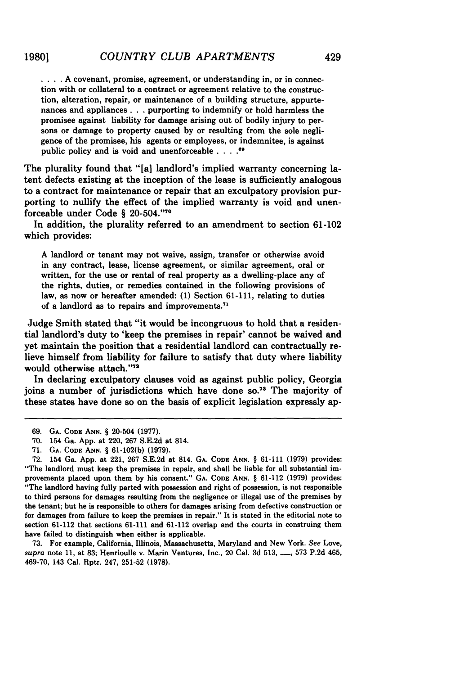**. .. A** covenant, promise, agreement, or understanding in, or in connection with or collateral to a contract or agreement relative to the construction, alteration, repair, or maintenance of a building structure, appurtenances and appliances. **. .** purporting to indemnify or hold harmless the promisee against liability for damage arising out of bodily injury to persons or damage to property caused **by** or resulting from the sole negligence of the promisee, his agents or employees, or indemnitee, is against public policy and is void and unenforceable **. . ..**

The plurality found that "[a] landlord's implied warranty concerning latent defects existing at the inception of the lease is sufficiently analogous to a contract for maintenance or repair that an exculpatory provision purporting to nullify the effect of the implied warranty is void and unenforceable under Code § 20-504."<sup>70</sup>

In addition, the plurality referred to an amendment to section **61-102** which provides:

**A** landlord or tenant may not waive, assign, transfer or otherwise avoid in any contract, lease, license agreement, or similar agreement, oral or written, for the use or rental of real property as a dwelling-place any of the rights, duties, or remedies contained in the following provisions of law, as now or hereafter amended: **(1)** Section **61-111,** relating to duties of a landlord as to repairs and improvements.<sup>71</sup>

Judge Smith stated that "it would be incongruous to hold that a residential landlord's duty to 'keep the premises in repair' cannot be waived and yet maintain the position that a residential landlord can contractually relieve himself from liability for failure to satisfy that duty where liability would otherwise attach."72

In declaring exculpatory clauses void as against public policy, Georgia joins a number of jurisdictions which have done so.<sup>73</sup> The majority of these states have done so on the basis of explicit legislation expressly ap-

**73.** For example, California, Illinois, Massachusetts, Maryland and New York. *See* Love, *supra* note **11,** at **83;** Henrioulle v. **Marin** Ventures, Inc., 20 Cal. **3d 513, -, 573 P.2d** 465, **469-70,** 143 Cal. Rptr. 247, **251-52 (1978).**

**<sup>69.</sup> GA. CODE ANN. § 20-504 (1977).**

**<sup>70.</sup>** 154 Ga. **App.** at 220, **267 S.E.2d** at 814.

**<sup>71.</sup> GA. CODE ANN. § 61-102(b) (1979).**

**<sup>72.</sup>** 154 Ga. **App.** at 221, **267 S.E.2d** at 814. **GA. CODE ANN. § 61-111 (1979)** provides: "The landlord must keep the premises in repair, and shall be liable for all substantial improvements placed upon them **by** his consent." **GA. CODE ANN. § 61-112 (1979)** provides: "The landlord having fully parted with possession and right of possession, is not responsible to third persons for damages resulting from the negligence or illegal use of the premises **by** the tenant; but he is responsible to others for damages arising from defective construction or for damages from failure to keep the premises in repair." It is stated in the editorial note to section **61-112** that sections **61-111** and **61-112** overlap and the courts in construing them have failed to distinguish when either is applicable.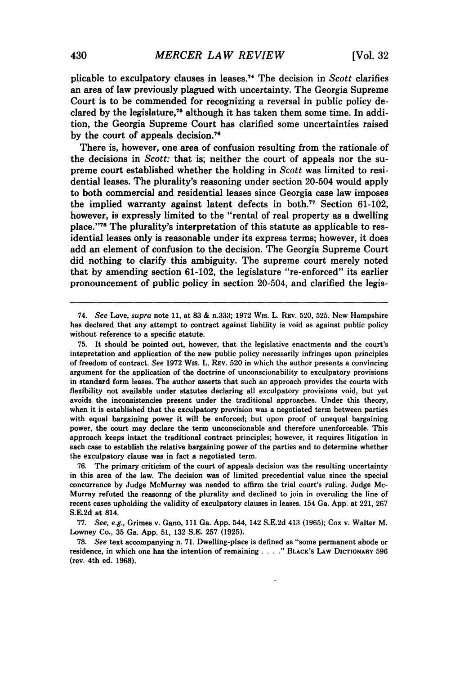plicable to exculpatory clauses in leases **. <sup>7</sup>**The decision in *Scott* clarifies an area of law previously plagued with uncertainty. The Georgia Supreme Court is to be commended for recognizing a reversal in public policy declared by the legislature,<sup>75</sup> although it has taken them some time. In addition, the Georgia Supreme Court has clarified some uncertainties raised by the court of appeals decision.<sup>76</sup>

There is, however, one area of confusion resulting from the rationale of the decisions in *Scott:* that is; neither the court of appeals nor the supreme court established whether the holding in *Scott* was limited to residential leases. The plurality's reasoning under section 20-504 would apply to both commercial and residential leases since Georgia case law imposes the implied warranty against latent defects in **both.77** Section **61-102,** however, is expressly limited to the "rental of real property as a dwelling place."78 The plurality's interpretation of this statute as applicable to residential leases only is reasonable under its express terms; however, it does add an element of confusion to the decision. The Georgia Supreme Court did nothing to clarify this ambiguity. The supreme court merely noted that **by** amending section **61-102,** the legislature "re-enforced" its earlier pronouncement of public policy in section 20-504, and clarified the legis-

**76.** The primary criticism of the court of appeals decision was the resulting uncertainty in this area of the law. The decision was of limited precedential value since the special concurrence **by** Judge McMurray was needed to affirm the trial court's ruling. Judge Mc-Murray refuted the reasonng of the plurality and declined to join in overuling the line of recent cases upholding the validity of exculpatory clauses in leases. 154 Ga. **App.** at 221, **267 S.E.2d** at 814.

**77.** See, e.g., Grimes v. Gano, **111** Ga. **App.** 544, 142 **S.E.2d** 413 **(1965);** Cox v. Walter M. Lowney Co., **35** Ga. **App. 51, 132 S.E. 257 (1925).**

**78.** See text accompanying n. **71.** Dwelling-place is defined as "some permanent abode or residence, in which one has the intention of remaining **. BLACK'S LAW DICTIONARY 596** (rev. 4th ed. **1968).**

<sup>74.</sup> See Love, supra **note 11,** at **83 &** n.333; **1972** Wis. L. REV. **520, 525.** New Hampshire has declared that any attempt to contract against liability is void as against public policy without reference to a specific statute.

**<sup>75.</sup>** It should be pointed out, however, that the legislative enactments and the court's intepretation and application of the new public policy necessarily infringes upon principles of freedom of contract. See **1972** Wis. L. **REV. 520** in which the author presents a convincing argument for the application of the doctrine of unconscionability to exculpatory provisions in standard form leases. The author asserts that such an approach provides the courts with flexibility not available under statutes declaring all exculpatory provisions void, but yet avoids the inconsistencies present under the traditional approaches. Under this theory, when it is established that the exculpatory provision was a negotiated term between parties with equal bargaining power it will be enforced; but upon proof of unequal bargaining power, the court may declare the term unconscionable and therefore unenforceable. This approach keeps intact the traditional contract principles; however, it requires litigation in each case to establish the relative bargaining power of the parties and **to** determine whether the exculpatory clause was in fact a negotiated term.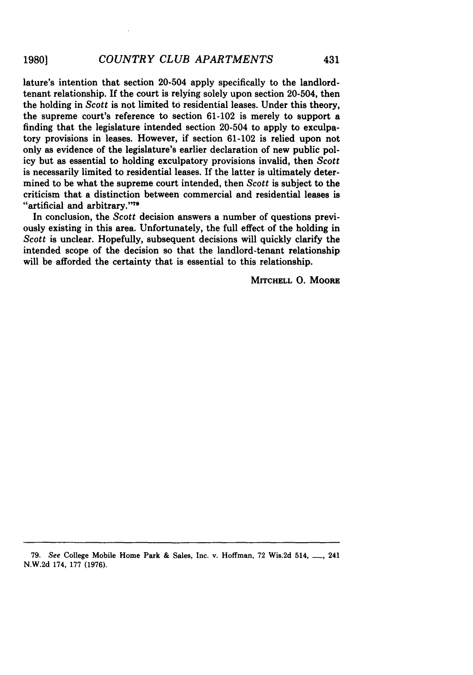lature's intention that section 20-504 apply specifically to the landlordtenant relationship. If the court is relying solely upon section 20-504, then the holding in *Scott* is not limited to residential leases. Under this theory, the supreme court's reference to section 61-102 is merely to support a finding that the legislature intended section 20-504 to apply to exculpatory provisions in leases. However, if section 61-102 is relied upon not only as evidence of the legislature's earlier declaration of new public policy but as essential to holding exculpatory provisions invalid, then *Scott* is necessarily limited to residential leases. If the latter is ultimately determined to be what the supreme court intended, then Scott is subject to the criticism that a distinction between commercial and residential leases is "artificial and arbitrary."<sup>79</sup>

In conclusion, the Scott decision answers a number of questions previously existing in this area. Unfortunately, the full effect of the holding in *Scott* is unclear. Hopefully, subsequent decisions will quickly clarify the intended scope of the decision so that the landlord-tenant relationship will be afforded the certainty that is essential to this relationship.

MITCHELL **0.** MOORE

**79.** See College Mobile Home Park & Sales, Inc. v. Hoffman, **72** Wis.2d 514, **\_\_,** 241 N.W.2d 174, **177 (1976).**